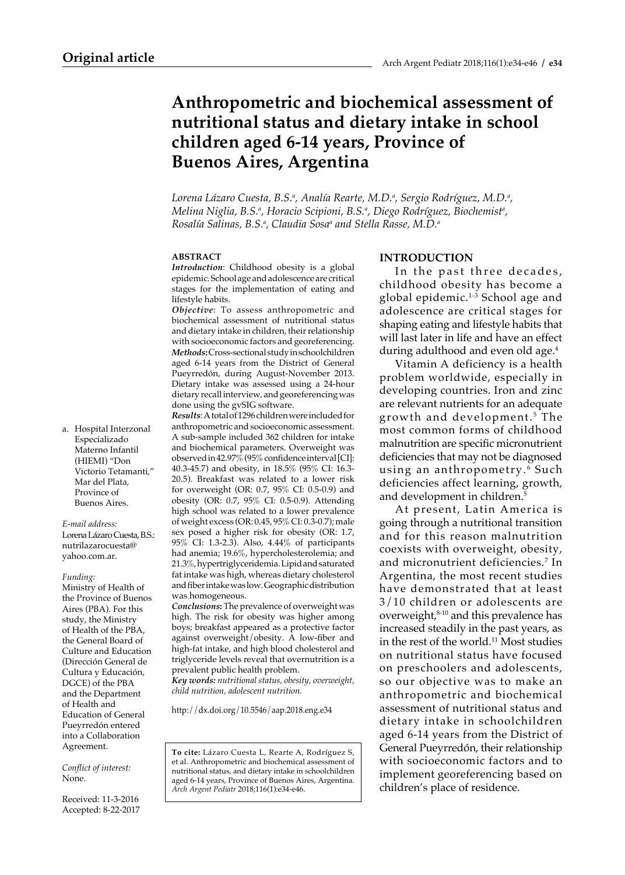# **Anthropometric and biochemical assessment of nutritional status and dietary intake in school children aged 6-14 years, Province of Buenos Aires, Argentina**

Lorena Lázaro Cuesta, B.S.ª, Analía Rearte, M.D.ª, Sergio Rodríguez, M.D.ª, Melina Niglia, B.S.ª, Horacio Scipioni, B.S.ª, Diego Rodríguez, Biochemistª, *Rosalía Salinas, B.S.a , Claudia Sosaa and Stella Rasse, M.D.a*

#### **ABSTRACT**

*Introduction*: Childhood obesity is a global epidemic. School age and adolescence are critical stages for the implementation of eating and lifestyle habits.

*Objective*: To assess anthropometric and biochemical assessment of nutritional status and dietary intake in children, their relationship with socioeconomic factors and georeferencing. *Methods***:** Cross-sectional study in schoolchildren aged 6-14 years from the District of General Pueyrredón, during August-November 2013. Dietary intake was assessed using a 24-hour dietary recall interview, and georeferencing was done using the gvSIG software.

*Results*: A total of 1296 children were included for anthropometric and socioeconomic assessment. A sub-sample included 362 children for intake and biochemical parameters. Overweight was observed in 42.97% (95% confidence interval [CI]: 40.3-45.7) and obesity, in 18.5% (95% CI: 16.3- 20.5). Breakfast was related to a lower risk for overweight (OR: 0.7, 95% CI: 0.5-0.9) and obesity (OR: 0.7, 95% CI: 0.5-0.9). Attending high school was related to a lower prevalence of weight excess (OR: 0.45, 95% CI: 0.3-0.7); male sex posed a higher risk for obesity (OR: 1.7, 95% CI: 1.3-2.3). Also, 4.44% of participants had anemia; 19.6%, hypercholesterolemia; and 21.3%, hypertriglyceridemia. Lipid and saturated fat intake was high, whereas dietary cholesterol and fiber intake was low. Geographic distribution was homogeneous.

*Conclusions***:** The prevalence of overweight was high. The risk for obesity was higher among boys; breakfast appeared as a protective factor against overweight/obesity. A low-fiber and high-fat intake, and high blood cholesterol and triglyceride levels reveal that overnutrition is a prevalent public health problem.

*Key words: nutritional status, obesity, overweight, child nutrition, adolescent nutrition.*

http://dx.doi.org/10.5546/aap.2018.eng.e34

**To cite:** Lázaro Cuesta L, Rearte A, Rodríguez S, et al. Anthropometric and biochemical assessment of nutritional status, and dietary intake in schoolchildren aged 6-14 years, Province of Buenos Aires, Argentina. *Arch Argent Pediatr* 2018;116(1):e34-e46.

#### **INTRODUCTION**

In the past three decades, childhood obesity has become a global epidemic.<sup>1-3</sup> School age and adolescence are critical stages for shaping eating and lifestyle habits that will last later in life and have an effect during adulthood and even old age.<sup>4</sup>

Vitamin A deficiency is a health problem worldwide, especially in developing countries. Iron and zinc are relevant nutrients for an adequate growth and development. 5 The most common forms of childhood malnutrition are specific micronutrient deficiencies that may not be diagnosed using an anthropometry.<sup>6</sup> Such deficiencies affect learning, growth, and development in children.5

At present, Latin America is going through a nutritional transition and for this reason malnutrition coexists with overweight, obesity, and micronutrient deficiencies.7 In Argentina, the most recent studies have demonstrated that at least 3/10 children or adolescents are overweight, $8-10$  and this prevalence has increased steadily in the past years, as in the rest of the world.11 Most studies on nutritional status have focused on preschoolers and adolescents, so our objective was to make an anthropometric and biochemical assessment of nutritional status and dietary intake in schoolchildren aged 6-14 years from the District of General Pueyrredón, their relationship with socioeconomic factors and to implement georeferencing based on children's place of residence.

a. Hospital Interzonal Especializado Materno Infantil (HIEMI) "Don Victorio Tetamanti," Mar del Plata, Province of Buenos Aires.

#### *E-mail address:*

Lorena Lázaro Cuesta, B.S.: nutrilazarocuesta@ yahoo.com.ar.

#### *Funding:*

Ministry of Health of the Province of Buenos Aires (PBA). For this study, the Ministry of Health of the PBA, the General Board of Culture and Education (Dirección General de Cultura y Educación, DGCE) of the PBA and the Department of Health and Education of General Pueyrredón entered into a Collaboration Agreement.

*Conflict of interest:*  None.

Received: 11-3-2016 Accepted: 8-22-2017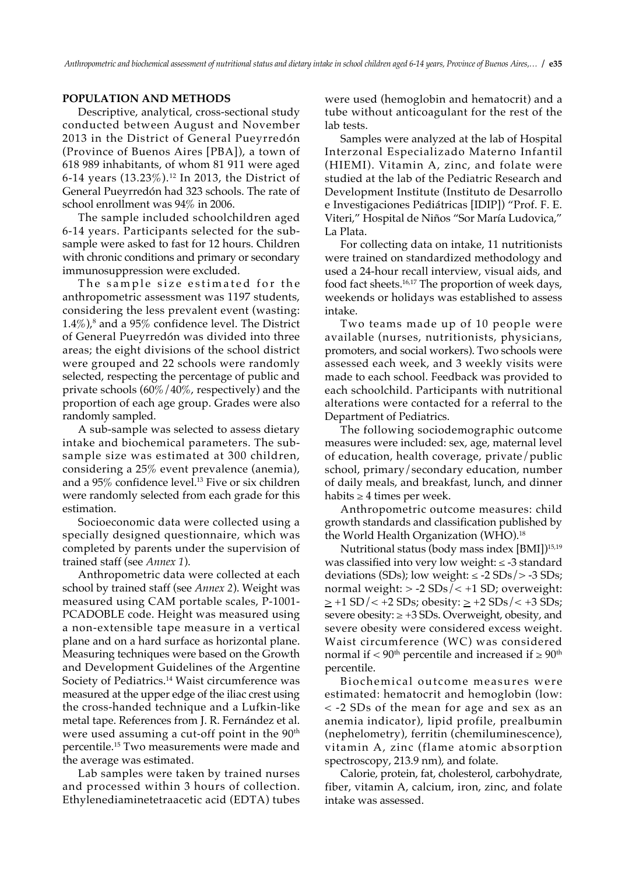### **POPULATION AND METHODS**

Descriptive, analytical, cross-sectional study conducted between August and November 2013 in the District of General Pueyrredón (Province of Buenos Aires [PBA]), a town of 618 989 inhabitants, of whom 81 911 were aged 6-14 years (13.23%).12 In 2013, the District of General Pueyrredón had 323 schools. The rate of school enrollment was 94% in 2006.

The sample included schoolchildren aged 6-14 years. Participants selected for the subsample were asked to fast for 12 hours. Children with chronic conditions and primary or secondary immunosuppression were excluded.

The sample size estimated for the anthropometric assessment was 1197 students, considering the less prevalent event (wasting: 1.4%), $^8$  and a 95% confidence level. The District of General Pueyrredón was divided into three areas; the eight divisions of the school district were grouped and 22 schools were randomly selected, respecting the percentage of public and private schools (60%/40%, respectively) and the proportion of each age group. Grades were also randomly sampled.

A sub-sample was selected to assess dietary intake and biochemical parameters. The subsample size was estimated at 300 children, considering a 25% event prevalence (anemia), and a 95% confidence level.13 Five or six children were randomly selected from each grade for this estimation.

Socioeconomic data were collected using a specially designed questionnaire, which was completed by parents under the supervision of trained staff (see *Annex 1*).

Anthropometric data were collected at each school by trained staff (see *Annex 2*). Weight was measured using CAM portable scales, P-1001- PCADOBLE code. Height was measured using a non-extensible tape measure in a vertical plane and on a hard surface as horizontal plane. Measuring techniques were based on the Growth and Development Guidelines of the Argentine Society of Pediatrics.<sup>14</sup> Waist circumference was measured at the upper edge of the iliac crest using the cross-handed technique and a Lufkin-like metal tape. References from J. R. Fernández et al. were used assuming a cut-off point in the 90<sup>th</sup> percentile.15 Two measurements were made and the average was estimated.

Lab samples were taken by trained nurses and processed within 3 hours of collection. Ethylenediaminetetraacetic acid (EDTA) tubes were used (hemoglobin and hematocrit) and a tube without anticoagulant for the rest of the lab tests.

Samples were analyzed at the lab of Hospital Interzonal Especializado Materno Infantil (HIEMI). Vitamin A, zinc, and folate were studied at the lab of the Pediatric Research and Development Institute (Instituto de Desarrollo e Investigaciones Pediátricas [IDIP]) "Prof. F. E. Viteri," Hospital de Niños "Sor María Ludovica," La Plata.

For collecting data on intake, 11 nutritionists were trained on standardized methodology and used a 24-hour recall interview, visual aids, and food fact sheets.16,17 The proportion of week days, weekends or holidays was established to assess intake.

Two teams made up of 10 people were available (nurses, nutritionists, physicians, promoters, and social workers). Two schools were assessed each week, and 3 weekly visits were made to each school. Feedback was provided to each schoolchild. Participants with nutritional alterations were contacted for a referral to the Department of Pediatrics.

The following sociodemographic outcome measures were included: sex, age, maternal level of education, health coverage, private/public school, primary/secondary education, number of daily meals, and breakfast, lunch, and dinner habits  $\geq 4$  times per week.

Anthropometric outcome measures: child growth standards and classification published by the World Health Organization (WHO).18

Nutritional status (body mass index [BMI])15,19 was classified into very low weight: ≤ -3 standard deviations (SDs); low weight:  $\le$  -2 SDs/ $>$  -3 SDs; normal weight: > -2 SDs/< +1 SD; overweight:  $\ge$  +1 SD/< +2 SDs; obesity:  $\ge$  +2 SDs/< +3 SDs; severe obesity:  $\geq$  +3 SDs. Overweight, obesity, and severe obesity were considered excess weight. Waist circumference (WC) was considered normal if < 90<sup>th</sup> percentile and increased if  $\geq 90$ <sup>th</sup> percentile.

Biochemical outcome measures were estimated: hematocrit and hemoglobin (low: < -2 SDs of the mean for age and sex as an anemia indicator), lipid profile, prealbumin (nephelometry), ferritin (chemiluminescence), vitamin A, zinc (flame atomic absorption spectroscopy, 213.9 nm), and folate.

Calorie, protein, fat, cholesterol, carbohydrate, fiber, vitamin A, calcium, iron, zinc, and folate intake was assessed.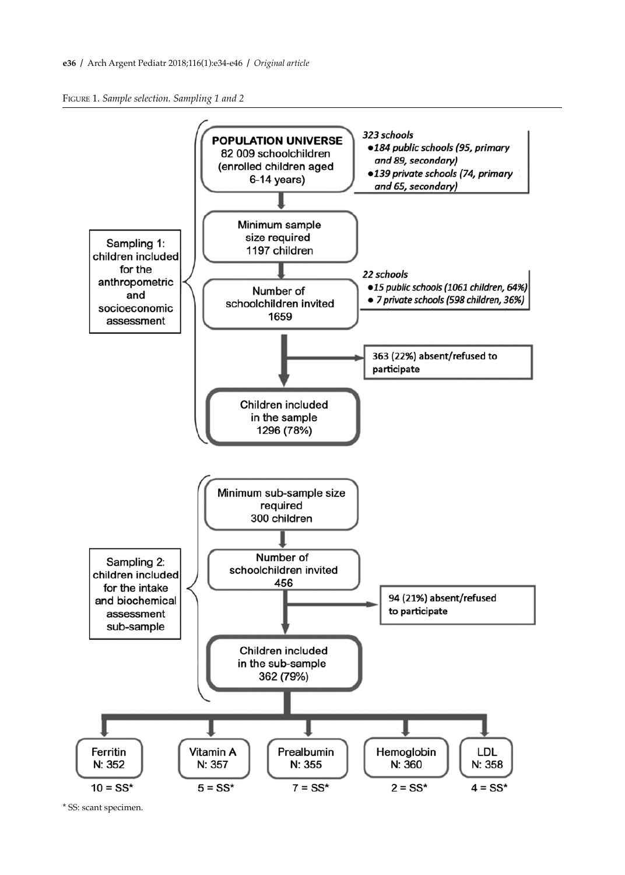Figure 1. *Sample selection. Sampling 1 and 2*



<sup>\*</sup> SS: scant specimen.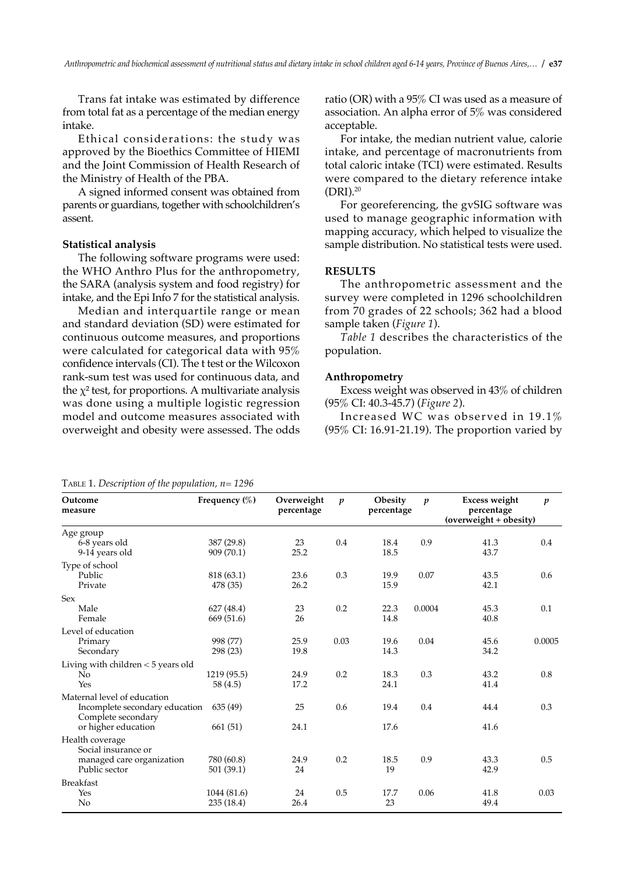Trans fat intake was estimated by difference from total fat as a percentage of the median energy intake.

Ethical considerations: the study was approved by the Bioethics Committee of HIEMI and the Joint Commission of Health Research of the Ministry of Health of the PBA.

A signed informed consent was obtained from parents or guardians, together with schoolchildren's assent.

#### **Statistical analysis**

The following software programs were used: the WHO Anthro Plus for the anthropometry, the SARA (analysis system and food registry) for intake, and the Epi Info 7 for the statistical analysis.

Median and interquartile range or mean and standard deviation (SD) were estimated for continuous outcome measures, and proportions were calculated for categorical data with 95% confidence intervals (CI). The t test or the Wilcoxon rank-sum test was used for continuous data, and the  $\chi^2$  test, for proportions. A multivariate analysis was done using a multiple logistic regression model and outcome measures associated with overweight and obesity were assessed. The odds ratio (OR) with a 95% CI was used as a measure of association. An alpha error of 5% was considered acceptable.

For intake, the median nutrient value, calorie intake, and percentage of macronutrients from total caloric intake (TCI) were estimated. Results were compared to the dietary reference intake (DRI).20

For georeferencing, the gvSIG software was used to manage geographic information with mapping accuracy, which helped to visualize the sample distribution. No statistical tests were used.

### **RESULTS**

The anthropometric assessment and the survey were completed in 1296 schoolchildren from 70 grades of 22 schools; 362 had a blood sample taken (*Figure 1*).

*Table 1* describes the characteristics of the population.

#### **Anthropometry**

Excess weight was observed in 43% of children (95% CI: 40.3-45.7) (*Figure 2*).

Increased WC was observed in 19.1% (95% CI: 16.91-21.19). The proportion varied by

|  |  |  |  | TABLE 1. Description of the population, $n=1296$ |  |
|--|--|--|--|--------------------------------------------------|--|
|--|--|--|--|--------------------------------------------------|--|

**Outcome Frequency (%) Overweight** *p* **Obesity** *p* **Excess weight** *p* **measure percentage percentage percentage (overweight + obesity)** Age group<br>6-8 years old 6-8 years old 387 (29.8) 23 0.4 18.4 0.9 41.3 0.4 9-14 years old 909 (70.1) 25.2 18.5 43.7 Type of school Public 818 (63.1) 23.6 0.3 19.9 0.07 43.5 0.6 Private 478 (35) 26.2 15.9 42.1 Sex Male 627 (48.4) 23 0.2 22.3 0.0004 45.3 0.1 Female 669 (51.6) 26 14.8 40.8 Level of education Primary 998 (77) 25.9 0.03 19.6 0.04 45.6 0.0005 Secondary 298 (23) 19.8 14.3 34.2 Living with children < 5 years old No 1219 (95.5) 24.9 0.2 18.3 0.3 43.2 0.8  $Y$ es 58 (4.5) 17.2 24.1 41.4 Maternal level of education Incomplete secondary education 635 (49) 25 0.6 19.4 0.4 44.4 0.3 Complete secondary or higher education 661 (51) 24.1 17.6 41.6 Health coverage Social insurance or managed care organization  $\begin{array}{cccc} 780 (60.8) & 24.9 & 0.2 & 18.5 & 0.9 & 43.3 & 0.5 \\ 19 & 24 & 19 & 42.9 & 42.9 & 43.3 & 44.9 \end{array}$ Public sector 501 (39.1) 24 19 19 22.9 Breakfast Yes 1044 (81.6) 24 0.5 17.7 0.06 41.8 0.03 No 235 (18.4) 26.4 23 49.4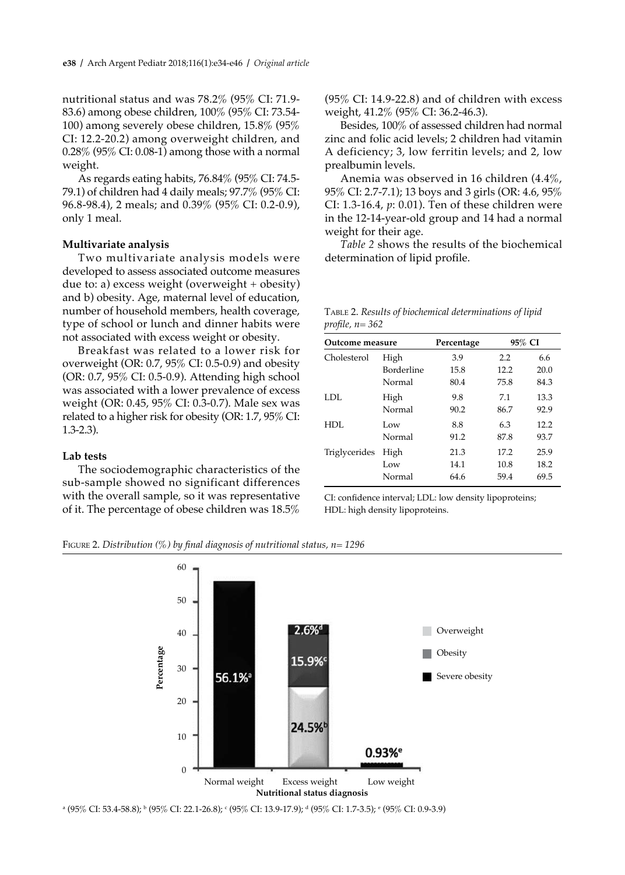nutritional status and was 78.2% (95% CI: 71.9- 83.6) among obese children, 100% (95% CI: 73.54- 100) among severely obese children, 15.8% (95% CI: 12.2-20.2) among overweight children, and 0.28% (95% CI: 0.08-1) among those with a normal weight.

As regards eating habits, 76.84% (95% CI: 74.5- 79.1) of children had 4 daily meals; 97.7% (95% CI: 96.8-98.4), 2 meals; and 0.39% (95% CI: 0.2-0.9), only 1 meal.

#### **Multivariate analysis**

Two multivariate analysis models were developed to assess associated outcome measures due to: a) excess weight (overweight + obesity) and b) obesity. Age, maternal level of education, number of household members, health coverage, type of school or lunch and dinner habits were not associated with excess weight or obesity.

Breakfast was related to a lower risk for overweight (OR: 0.7, 95% CI: 0.5-0.9) and obesity (OR: 0.7, 95% CI: 0.5-0.9). Attending high school was associated with a lower prevalence of excess weight (OR: 0.45, 95% CI: 0.3-0.7). Male sex was related to a higher risk for obesity (OR: 1.7, 95% CI: 1.3-2.3).

#### **Lab tests**

The sociodemographic characteristics of the sub-sample showed no significant differences with the overall sample, so it was representative of it. The percentage of obese children was 18.5% (95% CI: 14.9-22.8) and of children with excess weight, 41.2% (95% CI: 36.2-46.3).

Besides, 100% of assessed children had normal zinc and folic acid levels; 2 children had vitamin A deficiency; 3, low ferritin levels; and 2, low prealbumin levels.

Anemia was observed in 16 children (4.4%, 95% CI: 2.7-7.1); 13 boys and 3 girls (OR: 4.6, 95% CI: 1.3-16.4, *p*: 0.01). Ten of these children were in the 12-14-year-old group and 14 had a normal weight for their age.

*Table 2* shows the results of the biochemical determination of lipid profile.

|                 | TABLE 2. Results of biochemical determinations of lipid |
|-----------------|---------------------------------------------------------|
| profile, n= 362 |                                                         |

| Outcome measure |            | Percentage | 95% CI |      |  |  |
|-----------------|------------|------------|--------|------|--|--|
| Cholesterol     | High       | 3.9        | 2.2    | 6.6  |  |  |
|                 | Borderline | 15.8       | 12.2   | 20.0 |  |  |
|                 | Normal     | 80.4       | 75.8   | 84.3 |  |  |
| LDL             | High       | 9.8        | 7.1    | 13.3 |  |  |
|                 | Normal     | 90.2       | 86.7   | 92.9 |  |  |
| HDL             | Low        | 8.8        | 6.3    | 12.2 |  |  |
|                 | Normal     | 91.2       | 87.8   | 93.7 |  |  |
| Triglycerides   | High       | 21.3       | 17.2   | 25.9 |  |  |
|                 | Low        | 14.1       | 10.8   | 18.2 |  |  |
|                 | Normal     | 64.6       | 59.4   | 69.5 |  |  |

CI: confidence interval; LDL: low density lipoproteins; HDL: high density lipoproteins.

Figure 2. *Distribution (%) by final diagnosis of nutritional status, n= 1296*



a (95% CI: 53.4-58.8); <sup>b</sup> (95% CI: 22.1-26.8); <sup>c</sup> (95% CI: 13.9-17.9); <sup>a</sup> (95% CI: 1.7-3.5); <sup>e</sup> (95% CI: 0.9-3.9)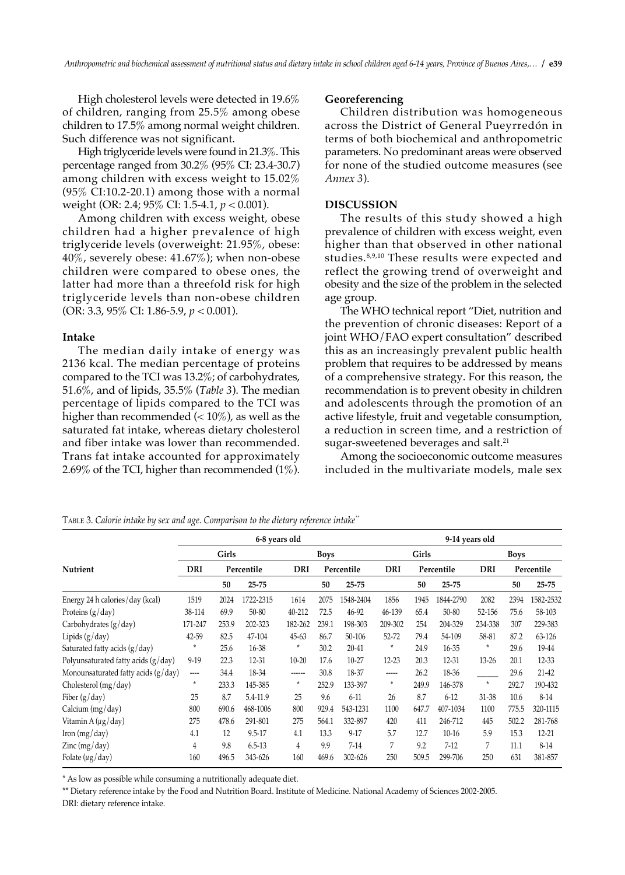High cholesterol levels were detected in 19.6% of children, ranging from 25.5% among obese children to 17.5% among normal weight children. Such difference was not significant.

High triglyceride levels were found in 21.3%. This percentage ranged from 30.2% (95% CI: 23.4-30.7) among children with excess weight to 15.02%  $(95\% \text{ CI}:10.2-20.1)$  among those with a normal weight (OR: 2.4; 95% CI: 1.5-4.1, *p* < 0.001).

Among children with excess weight, obese children had a higher prevalence of high triglyceride levels (overweight: 21.95%, obese: 40%, severely obese: 41.67%); when non-obese children were compared to obese ones, the latter had more than a threefold risk for high triglyceride levels than non-obese children (OR: 3.3, 95% CI: 1.86-5.9, *p* < 0.001).

#### **Intake**

The median daily intake of energy was 2136 kcal. The median percentage of proteins compared to the TCI was 13.2%; of carbohydrates, 51.6%, and of lipids, 35.5% (*Table 3*). The median percentage of lipids compared to the TCI was higher than recommended  $\left($  < 10%), as well as the saturated fat intake, whereas dietary cholesterol and fiber intake was lower than recommended. Trans fat intake accounted for approximately 2.69% of the TCI, higher than recommended (1%).

#### **Georeferencing**

Children distribution was homogeneous across the District of General Pueyrredón in terms of both biochemical and anthropometric parameters. No predominant areas were observed for none of the studied outcome measures (see *Annex 3*).

### **DISCUSSION**

The results of this study showed a high prevalence of children with excess weight, even higher than that observed in other national studies.8,9,10 These results were expected and reflect the growing trend of overweight and obesity and the size of the problem in the selected age group.

The WHO technical report "Diet, nutrition and the prevention of chronic diseases: Report of a joint WHO/FAO expert consultation" described this as an increasingly prevalent public health problem that requires to be addressed by means of a comprehensive strategy. For this reason, the recommendation is to prevent obesity in children and adolescents through the promotion of an active lifestyle, fruit and vegetable consumption, a reduction in screen time, and a restriction of sugar-sweetened beverages and salt.<sup>21</sup>

Among the socioeconomic outcome measures included in the multivariate models, male sex

|                                       |                          |       | 6-8 years old |            |             |            |          |       | 9-14 years old |           |             |            |
|---------------------------------------|--------------------------|-------|---------------|------------|-------------|------------|----------|-------|----------------|-----------|-------------|------------|
|                                       |                          | Girls |               |            | <b>Boys</b> |            |          | Girls |                |           | <b>Boys</b> |            |
| Nutrient                              | DRI                      |       | Percentile    | <b>DRI</b> |             | Percentile | DRI      |       | Percentile     | DRI       |             | Percentile |
|                                       |                          | 50    | $25 - 75$     |            | 50          | $25 - 75$  |          | 50    | $25 - 75$      |           | 50          | $25 - 75$  |
| Energy 24 h calories/day (kcal)       | 1519                     | 2024  | 1722-2315     | 1614       | 2075        | 1548-2404  | 1856     | 1945  | 1844-2790      | 2082      | 2394        | 1582-2532  |
| Proteins $(g/day)$                    | 38-114                   | 69.9  | $50 - 80$     | 40-212     | 72.5        | 46-92      | 46-139   | 65.4  | $50 - 80$      | 52-156    | 75.6        | 58-103     |
| Carbohydrates (g/day)                 | 171-247                  | 253.9 | 202-323       | 182-262    | 239.1       | 198-303    | 209-302  | 254   | 204-329        | 234-338   | 307         | 229-383    |
| Lipids $(g/day)$                      | 42-59                    | 82.5  | 47-104        | $45 - 63$  | 86.7        | 50-106     | 52-72    | 79.4  | 54-109         | 58-81     | 87.2        | 63-126     |
| Saturated fatty acids $(g/day)$       | $\star$                  | 25.6  | 16-38         | $\star$    | 30.2        | 20-41      | $\star$  | 24.9  | 16-35          | $\star$   | 29.6        | 19-44      |
| Polyunsaturated fatty acids $(g/day)$ | $9-19$                   | 22.3  | 12-31         | $10 - 20$  | 17.6        | 10-27      | 12-23    | 20.3  | 12-31          | $13 - 26$ | 20.1        | 12-33      |
| Monounsaturated fatty acids $(g/day)$ | $\overline{\phantom{a}}$ | 34.4  | 18-34         | ------     | 30.8        | 18-37      | -----    | 26.2  | 18-36          |           | 29.6        | $21 - 42$  |
| Cholesterol $(mg/day)$                | $\star$                  | 233.3 | 145-385       | $\star$    | 252.9       | 133-397    | $^\star$ | 249.9 | 146-378        | $\star$   | 292.7       | 190-432    |
| Fiber $(g/day)$                       | 25                       | 8.7   | 5.4-11.9      | 25         | 9.6         | $6 - 11$   | 26       | 8.7   | $6 - 12$       | 31-38     | 10.6        | $8 - 14$   |
| Calcium (mg/day)                      | 800                      | 690.6 | 468-1006      | 800        | 929.4       | 543-1231   | 1100     | 647.7 | 407-1034       | 1100      | 775.5       | 320-1115   |
| Vitamin A (µg/day)                    | 275                      | 478.6 | 291-801       | 275        | 564.1       | 332-897    | 420      | 411   | 246-712        | 445       | 502.2       | 281-768    |
| Iron $(mg/day)$                       | 4.1                      | 12    | $9.5 - 17$    | 4.1        | 13.3        | $9 - 17$   | 5.7      | 12.7  | $10-16$        | 5.9       | 15.3        | $12 - 21$  |
| $\text{Zinc}$ (mg/day)                | 4                        | 9.8   | $6.5 - 13$    | 4          | 9.9         | $7 - 14$   | 7        | 9.2   | $7-12$         | 7         | 11.1        | $8 - 14$   |
| Folate $(\mu g / day)$                | 160                      | 496.5 | 343-626       | 160        | 469.6       | 302-626    | 250      | 509.5 | 299-706        | 250       | 631         | 381-857    |

Table 3. *Calorie intake by sex and age. Comparison to the dietary reference intake\*\**

\* As low as possible while consuming a nutritionally adequate diet.

\*\* Dietary reference intake by the Food and Nutrition Board. Institute of Medicine. National Academy of Sciences 2002-2005. DRI: dietary reference intake.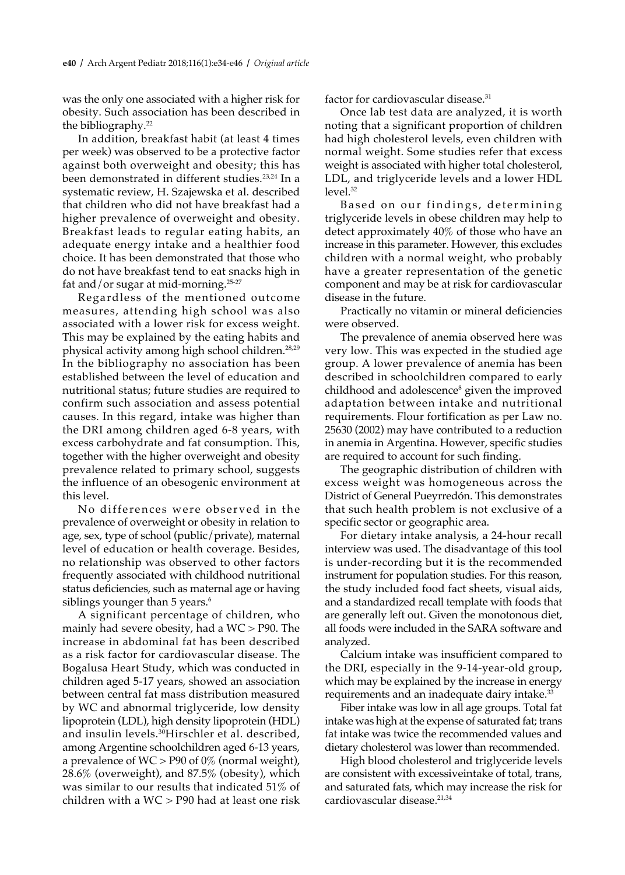was the only one associated with a higher risk for obesity. Such association has been described in the bibliography.22

In addition, breakfast habit (at least 4 times per week) was observed to be a protective factor against both overweight and obesity; this has been demonstrated in different studies.<sup>23,24</sup> In a systematic review, H. Szajewska et al. described that children who did not have breakfast had a higher prevalence of overweight and obesity. Breakfast leads to regular eating habits, an adequate energy intake and a healthier food choice. It has been demonstrated that those who do not have breakfast tend to eat snacks high in fat and/or sugar at mid-morning.25-27

Regardless of the mentioned outcome measures, attending high school was also associated with a lower risk for excess weight. This may be explained by the eating habits and physical activity among high school children.28,29 In the bibliography no association has been established between the level of education and nutritional status; future studies are required to confirm such association and assess potential causes. In this regard, intake was higher than the DRI among children aged 6-8 years, with excess carbohydrate and fat consumption. This, together with the higher overweight and obesity prevalence related to primary school, suggests the influence of an obesogenic environment at this level.

No differences were observed in the prevalence of overweight or obesity in relation to age, sex, type of school (public/private), maternal level of education or health coverage. Besides, no relationship was observed to other factors frequently associated with childhood nutritional status deficiencies, such as maternal age or having siblings younger than 5 years.<sup>6</sup>

A significant percentage of children, who mainly had severe obesity, had a WC > P90. The increase in abdominal fat has been described as a risk factor for cardiovascular disease. The Bogalusa Heart Study, which was conducted in children aged 5-17 years, showed an association between central fat mass distribution measured by WC and abnormal triglyceride, low density lipoprotein (LDL), high density lipoprotein (HDL) and insulin levels.<sup>30</sup>Hirschler et al. described, among Argentine schoolchildren aged 6-13 years, a prevalence of  $WC > P90$  of 0% (normal weight), 28.6% (overweight), and 87.5% (obesity), which was similar to our results that indicated 51% of children with a WC > P90 had at least one risk factor for cardiovascular disease.<sup>31</sup>

Once lab test data are analyzed, it is worth noting that a significant proportion of children had high cholesterol levels, even children with normal weight. Some studies refer that excess weight is associated with higher total cholesterol, LDL, and triglyceride levels and a lower HDL level.32

Based on our findings, determining triglyceride levels in obese children may help to detect approximately 40% of those who have an increase in this parameter. However, this excludes children with a normal weight, who probably have a greater representation of the genetic component and may be at risk for cardiovascular disease in the future.

Practically no vitamin or mineral deficiencies were observed.

The prevalence of anemia observed here was very low. This was expected in the studied age group. A lower prevalence of anemia has been described in schoolchildren compared to early childhood and adolescence<sup>s</sup> given the improved adaptation between intake and nutritional requirements. Flour fortification as per Law no. 25630 (2002) may have contributed to a reduction in anemia in Argentina. However, specific studies are required to account for such finding.

The geographic distribution of children with excess weight was homogeneous across the District of General Pueyrredón. This demonstrates that such health problem is not exclusive of a specific sector or geographic area.

For dietary intake analysis, a 24-hour recall interview was used. The disadvantage of this tool is under-recording but it is the recommended instrument for population studies. For this reason, the study included food fact sheets, visual aids, and a standardized recall template with foods that are generally left out. Given the monotonous diet, all foods were included in the SARA software and analyzed.

Calcium intake was insufficient compared to the DRI, especially in the 9-14-year-old group, which may be explained by the increase in energy requirements and an inadequate dairy intake.<sup>33</sup>

Fiber intake was low in all age groups. Total fat intake was high at the expense of saturated fat; trans fat intake was twice the recommended values and dietary cholesterol was lower than recommended.

High blood cholesterol and triglyceride levels are consistent with excessiveintake of total, trans, and saturated fats, which may increase the risk for cardiovascular disease.<sup>21,34</sup>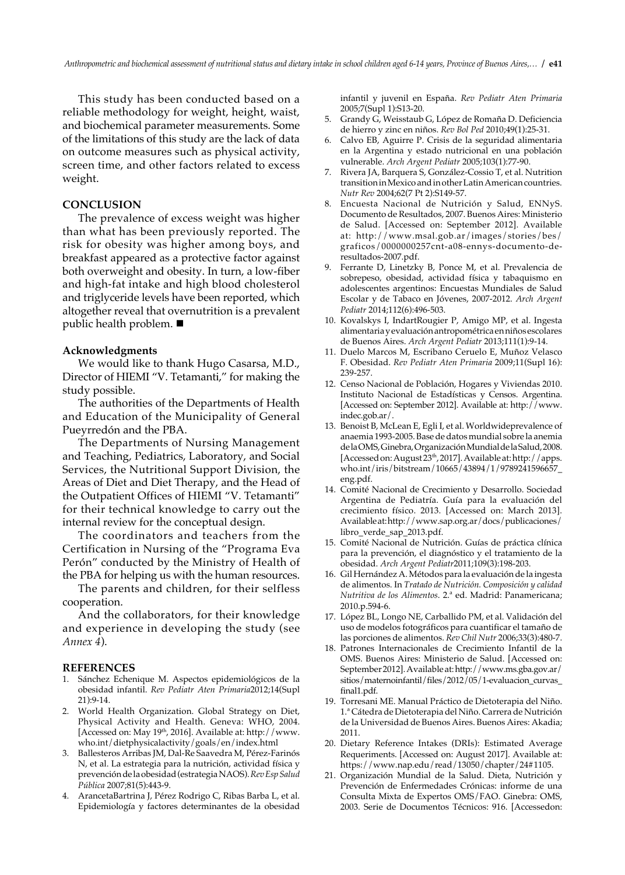This study has been conducted based on a reliable methodology for weight, height, waist, and biochemical parameter measurements. Some of the limitations of this study are the lack of data on outcome measures such as physical activity, screen time, and other factors related to excess weight.

## **CONCLUSION**

The prevalence of excess weight was higher than what has been previously reported. The risk for obesity was higher among boys, and breakfast appeared as a protective factor against both overweight and obesity. In turn, a low-fiber and high-fat intake and high blood cholesterol and triglyceride levels have been reported, which altogether reveal that overnutrition is a prevalent public health problem.  $\blacksquare$ 

#### **Acknowledgments**

We would like to thank Hugo Casarsa, M.D., Director of HIEMI "V. Tetamanti," for making the study possible.

The authorities of the Departments of Health and Education of the Municipality of General Pueyrredón and the PBA.

The Departments of Nursing Management and Teaching, Pediatrics, Laboratory, and Social Services, the Nutritional Support Division, the Areas of Diet and Diet Therapy, and the Head of the Outpatient Offices of HIEMI "V. Tetamanti" for their technical knowledge to carry out the internal review for the conceptual design.

The coordinators and teachers from the Certification in Nursing of the "Programa Eva Perón" conducted by the Ministry of Health of the PBA for helping us with the human resources.

The parents and children, for their selfless cooperation.

And the collaborators, for their knowledge and experience in developing the study (see *Annex 4*).

#### **REFERENCES**

- 1. Sánchez Echenique M. Aspectos epidemiológicos de la obesidad infantil. *Rev Pediatr Aten Primaria*2012;14(Supl 21):9-14.
- 2. World Health Organization. Global Strategy on Diet, Physical Activity and Health. Geneva: WHO, 2004. [Accessed on: May 19th, 2016]. Available at: http://www. who.int/dietphysicalactivity/goals/en/index.html
- 3. Ballesteros Arribas JM, Dal-Re Saavedra M, Pérez-Farinós N, et al. La estrategia para la nutrición, actividad física y prevención de la obesidad (estrategia NAOS). *Rev Esp Salud Pública* 2007;81(5):443-9.
- 4. ArancetaBartrina J, Pérez Rodrigo C, Ribas Barba L, et al. Epidemiología y factores determinantes de la obesidad

infantil y juvenil en España. *Rev Pediatr Aten Primaria*  2005;7(Supl 1):S13-20.

- 5. Grandy G, Weisstaub G, López de Romaña D. Deficiencia de hierro y zinc en niños. *Rev Bol Ped* 2010;49(1):25-31.
- 6. Calvo EB, Aguirre P. Crisis de la seguridad alimentaria en la Argentina y estado nutricional en una población vulnerable. *Arch Argent Pediatr* 2005;103(1):77-90.
- 7. Rivera JA, Barquera S, González-Cossio T, et al. Nutrition transition in Mexico and in other Latin American countries. *Nutr Rev* 2004;62(7 Pt 2):S149-57.
- 8. Encuesta Nacional de Nutrición y Salud, ENNyS. Documento de Resultados, 2007. Buenos Aires: Ministerio de Salud. [Accessed on: September 2012]. Available at: http://www.msal.gob.ar/images/stories/bes/ graficos/0000000257cnt-a08-ennys-documento-deresultados-2007.pdf.
- 9. Ferrante D, Linetzky B, Ponce M, et al. Prevalencia de sobrepeso, obesidad, actividad física y tabaquismo en adolescentes argentinos: Encuestas Mundiales de Salud Escolar y de Tabaco en Jóvenes, 2007-2012. *Arch Argent Pediatr* 2014;112(6):496-503.
- 10. Kovalskys I, IndartRougier P, Amigo MP, et al. Ingesta alimentaria y evaluación antropométrica en niños escolares de Buenos Aires. *Arch Argent Pediatr* 2013;111(1):9-14.
- 11. Duelo Marcos M, Escribano Ceruelo E, Muñoz Velasco F. Obesidad. *Rev Pediatr Aten Primaria* 2009;11(Supl 16): 239-257.
- 12. Censo Nacional de Población, Hogares y Viviendas 2010. Instituto Nacional de Estadísticas y Censos. Argentina. [Accessed on: September 2012]. Available at: http://www. indec.gob.ar/.
- 13. Benoist B, McLean E, Egli I, et al. Worldwideprevalence of anaemia 1993-2005. Base de datos mundial sobre la anemia de la OMS, Ginebra, Organización Mundial de la Salud, 2008. [Accessed on: August 23th, 2017]. Available at: http://apps. who.int/iris/bitstream/10665/43894/1/9789241596657\_ eng.pdf.
- 14. Comité Nacional de Crecimiento y Desarrollo. Sociedad Argentina de Pediatría. Guía para la evaluación del crecimiento físico. 2013. [Accessed on: March 2013]. Available at: http://www.sap.org.ar/docs/publicaciones/ libro\_verde\_sap\_2013.pdf.
- 15. Comité Nacional de Nutrición. Guías de práctica clínica para la prevención, el diagnóstico y el tratamiento de la obesidad. *Arch Argent Pediatr*2011;109(3):198-203.
- 16. Gil Hernández A. Métodos para la evaluación de la ingesta de alimentos. In *Tratado de Nutrición. Composición y calidad Nutritiva de los Alimentos*. 2.ª ed. Madrid: Panamericana; 2010.p.594-6.
- 17. López BL, Longo NE, Carballido PM, et al. Validación del uso de modelos fotográficos para cuantificar el tamaño de las porciones de alimentos. *Rev Chil Nutr* 2006;33(3):480-7.
- 18. Patrones Internacionales de Crecimiento Infantil de la OMS. Buenos Aires: Ministerio de Salud. [Accessed on: September 2012]. Available at: http://www.ms.gba.gov.ar/ sitios/maternoinfantil/files/2012/05/1-evaluacion\_curvas\_ final1.pdf.
- 19. Torresani ME. Manual Práctico de Dietoterapia del Niño. 1.ª Cátedra de Dietoterapia del Niño. Carrera de Nutrición de la Universidad de Buenos Aires. Buenos Aires: Akadia; 2011.
- 20. Dietary Reference Intakes (DRIs): Estimated Average Requeriments. [Accessed on: August 2017]. Available at: https://www.nap.edu/read/13050/chapter/24#1105.
- 21. Organización Mundial de la Salud. Dieta, Nutrición y Prevención de Enfermedades Crónicas: informe de una Consulta Mixta de Expertos OMS/FAO. Ginebra: OMS, 2003. Serie de Documentos Técnicos: 916. [Accessedon: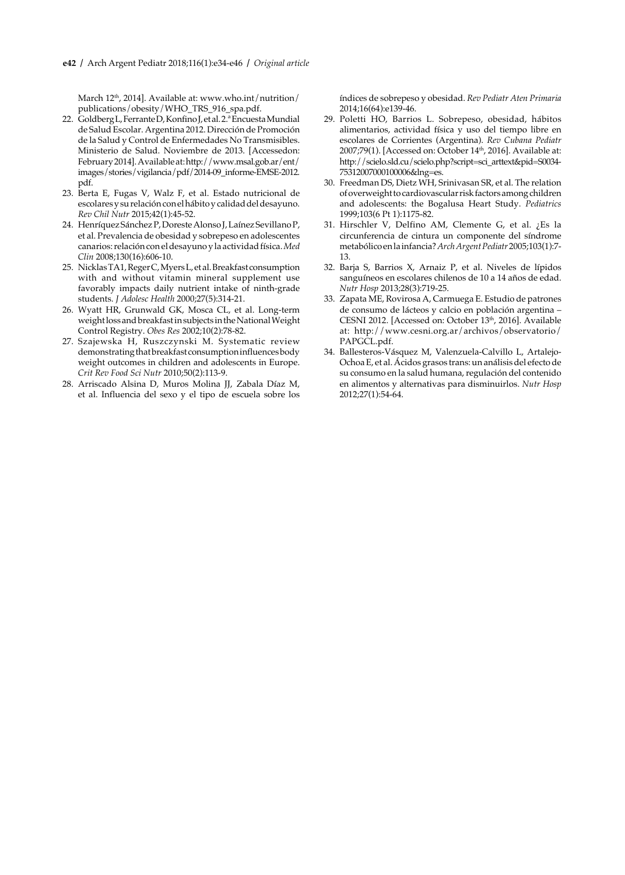March 12<sup>th</sup>, 2014]. Available at: www.who.int/nutrition/ publications/obesity/WHO\_TRS\_916\_spa.pdf.

- 22. Goldberg L, Ferrante D, Konfino J, et al. 2.ª Encuesta Mundial de Salud Escolar. Argentina 2012. Dirección de Promoción de la Salud y Control de Enfermedades No Transmisibles. Ministerio de Salud. Noviembre de 2013. [Accessedon: February 2014]. Available at: http://www.msal.gob.ar/ent/ images/stories/vigilancia/pdf/2014-09\_informe-EMSE-2012. pdf.
- 23. Berta E, Fugas V, Walz F, et al. Estado nutricional de escolares y su relación con el hábito y calidad del desayuno. *Rev Chil Nutr* 2015;42(1):45-52.
- 24. Henríquez Sánchez P, Doreste Alonso J, Laínez Sevillano P, et al. Prevalencia de obesidad y sobrepeso en adolescentes canarios: relación con el desayuno y la actividad física. *Med Clin* 2008;130(16):606-10.
- 25. Nicklas TA1, Reger C, Myers L, et al. Breakfast consumption with and without vitamin mineral supplement use favorably impacts daily nutrient intake of ninth-grade students. *J Adolesc Health* 2000;27(5):314-21.
- 26. Wyatt HR, Grunwald GK, Mosca CL, et al. Long-term weight loss and breakfast in subjects in the National Weight Control Registry. *Obes Res* 2002;10(2):78-82.
- 27. Szajewska H, Ruszczynski M. Systematic review demonstrating that breakfast consumption influences body weight outcomes in children and adolescents in Europe. *Crit Rev Food Sci Nutr* 2010;50(2):113-9.
- 28. Arriscado Alsina D, Muros Molina JJ, Zabala Díaz M, et al. Influencia del sexo y el tipo de escuela sobre los

índices de sobrepeso y obesidad. *Rev Pediatr Aten Primaria*  2014;16(64):e139-46.

- 29. Poletti HO, Barrios L. Sobrepeso, obesidad, hábitos alimentarios, actividad física y uso del tiempo libre en escolares de Corrientes (Argentina). *Rev Cubana Pediatr*  2007;79(1). [Accessed on: October 14<sup>th</sup>, 2016]. Available at: http://scielo.sld.cu/scielo.php?script=sci\_arttext&pid=S0034- 75312007000100006&lng=es.
- 30. Freedman DS, Dietz WH, Srinivasan SR, et al. The relation of overweight to cardiovascular risk factors among children and adolescents: the Bogalusa Heart Study. *Pediatrics*  1999;103(6 Pt 1):1175-82.
- 31. Hirschler V, Delfino AM, Clemente G, et al. ¿Es la circunferencia de cintura un componente del síndrome metabólico en la infancia? *Arch Argent Pediatr* 2005;103(1):7- 13.
- 32. Barja S, Barrios X, Arnaiz P, et al. Niveles de lípidos sanguíneos en escolares chilenos de 10 a 14 años de edad. *Nutr Hosp* 2013;28(3):719-25.
- 33. Zapata ME, Rovirosa A, Carmuega E. Estudio de patrones de consumo de lácteos y calcio en población argentina – CESNI 2012. [Accessed on: October 13<sup>th</sup>, 2016]. Available at: http://www.cesni.org.ar/archivos/observatorio/ PAPGCL.pdf.
- 34. Ballesteros-Vásquez M, Valenzuela-Calvillo L, Artalejo-Ochoa E, et al. Ácidos grasos trans: un análisis del efecto de su consumo en la salud humana, regulación del contenido en alimentos y alternativas para disminuirlos. *Nutr Hosp*  2012;27(1):54-64.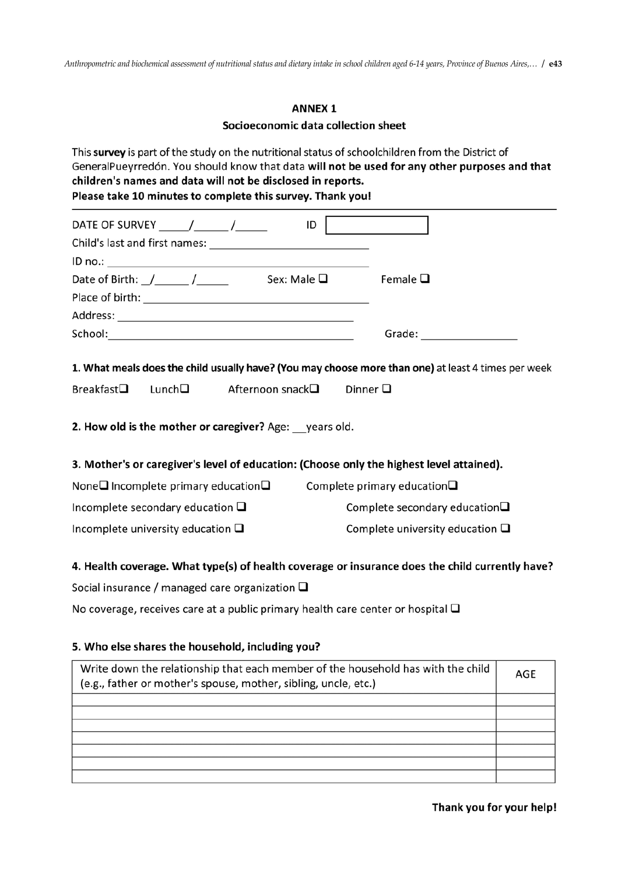*Anthropometric and biochemical assessment of nutritional status and dietary intake in school children aged 6-14 years, Province of Buenos Aires,… /* **e43**

## **ANNEX 1**

Socioeconomic data collection sheet

This survey is part of the study on the nutritional status of schoolchildren from the District of GeneralPueyrredón. You should know that data will not be used for any other purposes and that children's names and data will not be disclosed in reports. Please take 10 minutes to complete this survey. Thank you!

| DATE OF SURVEY _______/ ________ / _______                                               | ID                                                                                                  |
|------------------------------------------------------------------------------------------|-----------------------------------------------------------------------------------------------------|
|                                                                                          |                                                                                                     |
|                                                                                          |                                                                                                     |
| Date of Birth: $/$ / Sex: Male $\Box$                                                    | Female $\Box$                                                                                       |
|                                                                                          |                                                                                                     |
|                                                                                          |                                                                                                     |
|                                                                                          | Grade: _______________________                                                                      |
|                                                                                          |                                                                                                     |
|                                                                                          | 1. What meals does the child usually have? (You may choose more than one) at least 4 times per week |
| Breakfast $\square$ Lunch $\square$ Afternoon snack $\square$                            | Dinner $\square$                                                                                    |
|                                                                                          |                                                                                                     |
| 2. How old is the mother or caregiver? Age: years old.                                   |                                                                                                     |
|                                                                                          |                                                                                                     |
| 3. Mother's or caregiver's level of education: (Choose only the highest level attained). |                                                                                                     |
| None Incomplete primary education $\square$                                              | Complete primary education $\Box$                                                                   |
| Incomplete secondary education $\square$                                                 | Complete secondary education $\square$                                                              |
| Incomplete university education $\square$                                                | Complete university education $\square$                                                             |
|                                                                                          |                                                                                                     |
|                                                                                          | 4. Health coverage. What type(s) of health coverage or insurance does the child currently have?     |

Social insurance / managed care organization  $\square$ 

No coverage, receives care at a public primary health care center or hospital  $\square$ 

## 5. Who else shares the household, including you?

| Write down the relationship that each member of the household has with the child<br>(e.g., father or mother's spouse, mother, sibling, uncle, etc.) | AGE |
|-----------------------------------------------------------------------------------------------------------------------------------------------------|-----|
|                                                                                                                                                     |     |
|                                                                                                                                                     |     |
|                                                                                                                                                     |     |
|                                                                                                                                                     |     |
|                                                                                                                                                     |     |
|                                                                                                                                                     |     |
|                                                                                                                                                     |     |

Thank you for your help!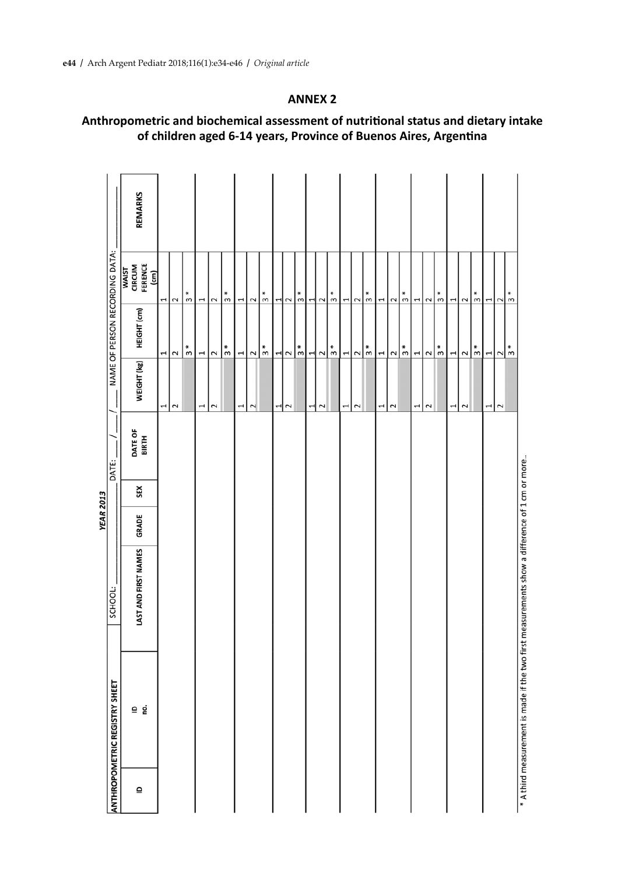## **ANNEX 2**

# **Anthropometric and biochemical assessment of nutritional status and dietary intake of children aged 6-14 years, Province of Buenos Aires, Argentina**

|              |                                                                                                 |                      | <b>YEAR 2013</b> |     |                         |             |                                    |                                           |                |  |
|--------------|-------------------------------------------------------------------------------------------------|----------------------|------------------|-----|-------------------------|-------------|------------------------------------|-------------------------------------------|----------------|--|
|              | <b>ANTHROPOMETRIC REGISTRY SHEET</b>                                                            | SCHOOL:              |                  |     | DATE:                   |             |                                    | NAME OF PERSON RECORDING DATA:            |                |  |
| $\mathbf{r}$ | ≘ ġ                                                                                             | LAST AND FIRST NAMES | GRADE            | SEX | <b>DATE OF</b><br>BIRTH | WEIGHT (kg) | HEIGHT (cm)                        | CIRCUM<br>FERENCE<br>(cm)<br><b>WAIST</b> | <b>REMARKS</b> |  |
|              |                                                                                                 |                      |                  |     |                         | 1           | 1                                  | 1                                         |                |  |
|              |                                                                                                 |                      |                  |     |                         | $\sim$      | $\sim$                             | $\sim$                                    |                |  |
|              |                                                                                                 |                      |                  |     |                         |             | $\frac{*}{3}$                      | ₩<br>$\mathsf{m}$                         |                |  |
|              |                                                                                                 |                      |                  |     |                         | 1           | 1                                  | $\overline{\phantom{a}}$                  |                |  |
|              |                                                                                                 |                      |                  |     |                         | $\sim$      | $\sim$                             | $\sim$                                    |                |  |
|              |                                                                                                 |                      |                  |     |                         |             | $\frac{*}{3}$                      | $\frac{*}{3}$                             |                |  |
|              |                                                                                                 |                      |                  |     |                         | 1           | 1                                  | $\overline{ }$                            |                |  |
|              |                                                                                                 |                      |                  |     |                         | $\sim$      | $\sim$                             | $\sim$                                    |                |  |
|              |                                                                                                 |                      |                  |     |                         |             | $\frac{*}{3}$                      | $\frac{*}{\infty}$                        |                |  |
|              |                                                                                                 |                      |                  |     |                         | 1           | ᅴ                                  |                                           |                |  |
|              |                                                                                                 |                      |                  |     |                         | $\sim$      | $\sim$                             | $-1$ $\sim$                               |                |  |
|              |                                                                                                 |                      |                  |     |                         |             | $\frac{*}{3}$                      | $\frac{1}{2}$                             |                |  |
|              |                                                                                                 |                      |                  |     |                         | ᆏ           | ᆋ                                  | ᆌ                                         |                |  |
|              |                                                                                                 |                      |                  |     |                         | $\sim$      | $\sim$                             | $\sim$                                    |                |  |
|              |                                                                                                 |                      |                  |     |                         |             | $\frac{*}{3}$                      | $\frac{*}{\Omega}$                        |                |  |
|              |                                                                                                 |                      |                  |     |                         | 1           |                                    |                                           |                |  |
|              |                                                                                                 |                      |                  |     |                         | $\sim$      | $\frac{1}{2}$ $\sqrt{\frac{1}{2}}$ | 122                                       |                |  |
|              |                                                                                                 |                      |                  |     |                         |             |                                    | $\frac{*}{3}$                             |                |  |
|              |                                                                                                 |                      |                  |     |                         | I           | 1                                  | $\overline{\phantom{a}}$                  |                |  |
|              |                                                                                                 |                      |                  |     |                         | $\sim$      | $\sim$                             | $\sim$                                    |                |  |
|              |                                                                                                 |                      |                  |     |                         |             | $\frac{1}{3}$                      | ₩<br>$\mathsf{m}$                         |                |  |
|              |                                                                                                 |                      |                  |     |                         | 1           | u۳                                 | ⊣∣                                        |                |  |
|              |                                                                                                 |                      |                  |     |                         | $\sim$      | $\sim$                             | $\sim$                                    |                |  |
|              |                                                                                                 |                      |                  |     |                         |             | $\frac{*}{3}$                      | $\frac{*}{\infty}$                        |                |  |
|              |                                                                                                 |                      |                  |     |                         | 1           | 1                                  | $\overline{ }$                            |                |  |
|              |                                                                                                 |                      |                  |     |                         | $\sim$      | $\sim$                             | $\sim$                                    |                |  |
|              |                                                                                                 |                      |                  |     |                         |             | $\frac{*}{\infty}$                 | $\frac{*}{\sigma}$                        |                |  |
|              |                                                                                                 |                      |                  |     |                         | 1           | $\overline{\phantom{a}}$           | 122                                       |                |  |
|              |                                                                                                 |                      |                  |     |                         | $\sim$      | $\sim$                             |                                           |                |  |
|              |                                                                                                 |                      |                  |     |                         |             | $\frac{*}{\pi}$                    | ₩<br>$\,$                                 |                |  |
|              | $*$ A third measurement is made if the two first measurements show a difference of 1 cm or more |                      |                  |     |                         |             |                                    |                                           |                |  |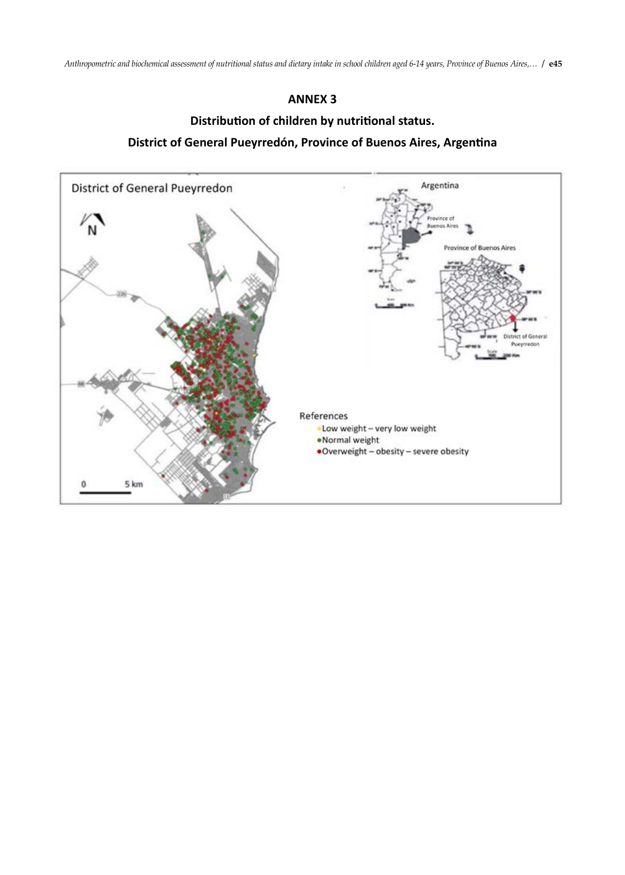## **ANNEX 3**

# **Distribution of children by nutritional status. District of General Pueyrredón, Province of Buenos Aires, Argentina**